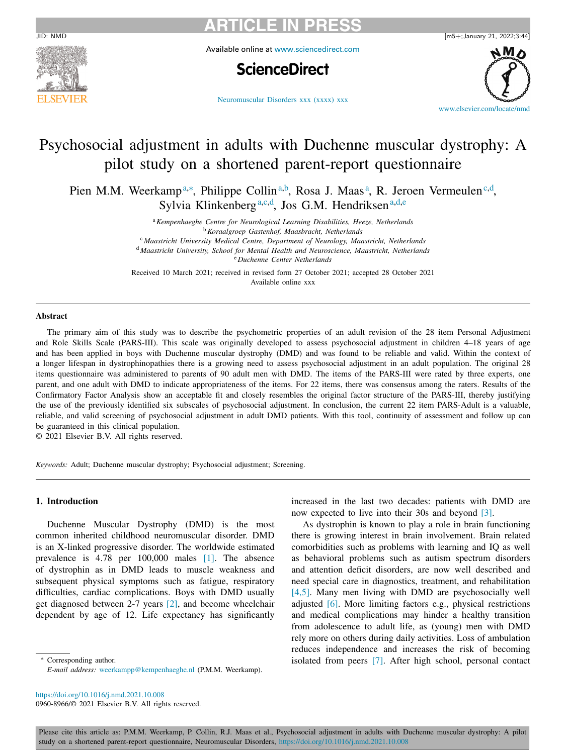



Available online at [www.sciencedirect.com](http://www.sciencedirect.com)

# **ScienceDirect**

[Neuromuscular](https://doi.org/10.1016/j.nmd.2021.10.008) Disorders xxx (xxxx) xxx



# Psychosocial adjustment in adults with Duchenne muscular dystrophy: A pilot study on a shortened parent-report questionnaire

Pien M.M. Weerkamp<sup>a,∗</sup>, Philippe Collin<sup>a,b</sup>, Rosa J. Maas<sup>a</sup>, R. Jeroen Vermeulen<sup>c,d</sup>, Sylvia Klinkenberg<sup>a,c,d</sup>, Jos G.M. Hendriksen<sup>a,d,e</sup>

> <sup>a</sup>*Kempenhaeghe Centre for Neurological Learning Disabilities, Heeze, Netherlands* <sup>b</sup>*Koraalgroep Gastenhof, Maasbracht, Netherlands*

<sup>c</sup> *Maastricht University Medical Centre, Department of Neurology, Maastricht, Netherlands*

<sup>d</sup> *Maastricht University, School for Mental Health and Neuroscience, Maastricht, Netherlands*

<sup>e</sup> *Duchenne Center Netherlands*

Received 10 March 2021; received in revised form 27 October 2021; accepted 28 October 2021 Available online xxx

#### **Abstract**

The primary aim of this study was to describe the psychometric properties of an adult revision of the 28 item Personal Adjustment and Role Skills Scale (PARS-III). This scale was originally developed to assess psychosocial adjustment in children 4–18 years of age and has been applied in boys with Duchenne muscular dystrophy (DMD) and was found to be reliable and valid. Within the context of a longer lifespan in dystrophinopathies there is a growing need to assess psychosocial adjustment in an adult population. The original 28 items questionnaire was administered to parents of 90 adult men with DMD. The items of the PARS-III were rated by three experts, one parent, and one adult with DMD to indicate appropriateness of the items. For 22 items, there was consensus among the raters. Results of the Confirmatory Factor Analysis show an acceptable fit and closely resembles the original factor structure of the PARS-III, thereby justifying the use of the previously identified six subscales of psychosocial adjustment. In conclusion, the current 22 item PARS-Adult is a valuable, reliable, and valid screening of psychosocial adjustment in adult DMD patients. With this tool, continuity of assessment and follow up can be guaranteed in this clinical population.

© 2021 Elsevier B.V. All rights reserved.

*Keywords:* Adult; Duchenne muscular dystrophy; Psychosocial adjustment; Screening.

## **1. Introduction**

Duchenne Muscular Dystrophy (DMD) is the most common inherited childhood neuromuscular disorder. DMD is an X-linked progressive disorder. The worldwide estimated prevalence is 4.78 per 100,000 males [\[1\].](#page-5-0) The absence of dystrophin as in DMD leads to muscle weakness and subsequent physical symptoms such as fatigue, respiratory difficulties, cardiac complications. Boys with DMD usually get diagnosed between 2-7 years [\[2\],](#page-5-0) and become wheelchair dependent by age of 12. Life expectancy has significantly

∗ Corresponding author. *E-mail address:* [weerkampp@kempenhaeghe.nl](mailto:weerkampp@kempenhaeghe.nl) (P.M.M. Weerkamp).

increased in the last two decades: patients with DMD are now expected to live into their 30s and beyond [\[3\].](#page-5-0)

As dystrophin is known to play a role in brain functioning there is growing interest in brain involvement. Brain related comorbidities such as problems with learning and IQ as well as behavioral problems such as autism spectrum disorders and attention deficit disorders, are now well described and need special care in diagnostics, treatment, and rehabilitation [\[4,5\].](#page-5-0) Many men living with DMD are psychosocially well adjusted [\[6\].](#page-5-0) More limiting factors e.g., physical restrictions and medical complications may hinder a healthy transition from adolescence to adult life, as (young) men with DMD rely more on others during daily activities. Loss of ambulation reduces independence and increases the risk of becoming isolated from peers [\[7\].](#page-5-0) After high school, personal contact

<https://doi.org/10.1016/j.nmd.2021.10.008>

0960-8966/© 2021 Elsevier B.V. All rights reserved.

Please cite this article as: P.M.M. Weerkamp, P. Collin, R.J. Maas et al., Psychosocial adjustment in adults with Duchenne muscular dystrophy: A pilot study on a shortened parent-report questionnaire, Neuromuscular Disorders, <https://doi.org/10.1016/j.nmd.2021.10.008>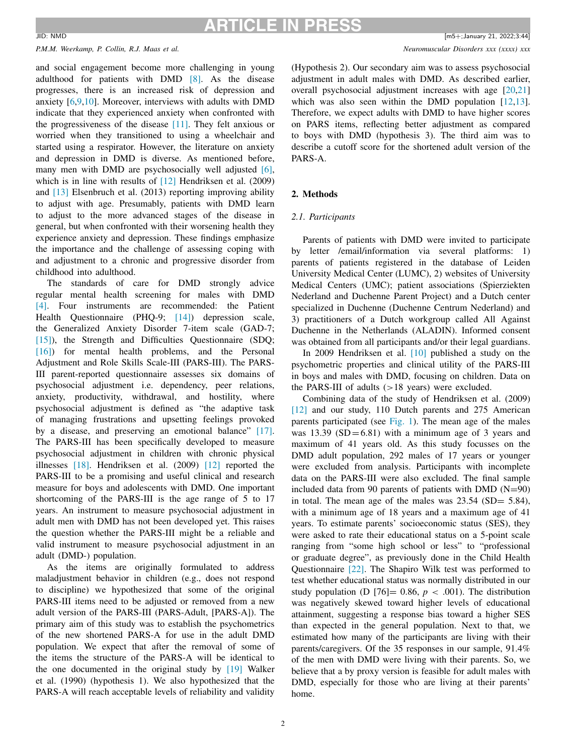#### *P.M.M. Weerkamp, P. Collin, R.J. Maas et al. Neuromuscular Disorders xxx (xxxx) xxx*

and social engagement become more challenging in young adulthood for patients with DMD [\[8\].](#page-5-0) As the disease progresses, there is an increased risk of depression and anxiety [\[6,](#page-5-0)[9,10\]](#page-6-0). Moreover, interviews with adults with DMD indicate that they experienced anxiety when confronted with the progressiveness of the disease [\[11\].](#page-6-0) They felt anxious or worried when they transitioned to using a wheelchair and started using a respirator. However, the literature on anxiety and depression in DMD is diverse. As mentioned before, many men with DMD are psychosocially well adjusted [\[6\],](#page-5-0) which is in line with results of [\[12\]](#page-6-0) Hendriksen et al. (2009) and [\[13\]](#page-6-0) Elsenbruch et al. (2013) reporting improving ability to adjust with age. Presumably, patients with DMD learn to adjust to the more advanced stages of the disease in general, but when confronted with their worsening health they experience anxiety and depression. These findings emphasize the importance and the challenge of assessing coping with and adjustment to a chronic and progressive disorder from childhood into adulthood.

The standards of care for DMD strongly advice regular mental health screening for males with DMD [\[4\].](#page-5-0) Four instruments are recommended: the Patient Health Questionnaire (PHQ-9; [\[14\]\)](#page-6-0) depression scale, the Generalized Anxiety Disorder 7-item scale (GAD-7; [\[15\]\)](#page-6-0), the Strength and Difficulties Questionnaire (SDQ; [\[16\]\)](#page-6-0) for mental health problems, and the Personal Adjustment and Role Skills Scale-III (PARS-III). The PARS-III parent-reported questionnaire assesses six domains of psychosocial adjustment i.e. dependency, peer relations, anxiety, productivity, withdrawal, and hostility, where psychosocial adjustment is defined as "the adaptive task of managing frustrations and upsetting feelings provoked by a disease, and preserving an emotional balance" [\[17\].](#page-6-0) The PARS-III has been specifically developed to measure psychosocial adjustment in children with chronic physical illnesses [\[18\].](#page-6-0) Hendriksen et al. (2009) [\[12\]](#page-6-0) reported the PARS-III to be a promising and useful clinical and research measure for boys and adolescents with DMD. One important shortcoming of the PARS-III is the age range of 5 to 17 years. An instrument to measure psychosocial adjustment in adult men with DMD has not been developed yet. This raises the question whether the PARS-III might be a reliable and valid instrument to measure psychosocial adjustment in an adult (DMD-) population.

As the items are originally formulated to address maladjustment behavior in children (e.g., does not respond to discipline) we hypothesized that some of the original PARS-III items need to be adjusted or removed from a new adult version of the PARS-III (PARS-Adult, [PARS-A]). The primary aim of this study was to establish the psychometrics of the new shortened PARS-A for use in the adult DMD population. We expect that after the removal of some of the items the structure of the PARS-A will be identical to the one documented in the original study by [\[19\]](#page-6-0) Walker et al. (1990) (hypothesis 1). We also hypothesized that the PARS-A will reach acceptable levels of reliability and validity

(Hypothesis 2). Our secondary aim was to assess psychosocial adjustment in adult males with DMD. As described earlier, overall psychosocial adjustment increases with age [\[20,21\]](#page-6-0) which was also seen within the DMD population  $[12,13]$ . Therefore, we expect adults with DMD to have higher scores on PARS items, reflecting better adjustment as compared to boys with DMD (hypothesis 3). The third aim was to describe a cutoff score for the shortened adult version of the PARS-A.

# **2. Methods**

### *2.1. Participants*

Parents of patients with DMD were invited to participate by letter /email/information via several platforms: 1) parents of patients registered in the database of Leiden University Medical Center (LUMC), 2) websites of University Medical Centers (UMC); patient associations (Spierziekten Nederland and Duchenne Parent Project) and a Dutch center specialized in Duchenne (Duchenne Centrum Nederland) and 3) practitioners of a Dutch workgroup called All Against Duchenne in the Netherlands (ALADIN). Informed consent was obtained from all participants and/or their legal guardians.

In 2009 Hendriksen et al. [\[10\]](#page-6-0) published a study on the psychometric properties and clinical utility of the PARS-III in boys and males with DMD, focusing on children. Data on the PARS-III of adults  $(>18$  years) were excluded.

Combining data of the study of Hendriksen et al. (2009) [\[12\]](#page-6-0) and our study, 110 Dutch parents and 275 American parents participated (see [Fig.](#page-2-0) 1). The mean age of the males was  $13.39$  (SD=6.81) with a minimum age of 3 years and maximum of 41 years old. As this study focusses on the DMD adult population, 292 males of 17 years or younger were excluded from analysis. Participants with incomplete data on the PARS-III were also excluded. The final sample included data from 90 parents of patients with DMD  $(N=90)$ in total. The mean age of the males was 23.54 (SD= 5.84), with a minimum age of 18 years and a maximum age of 41 years. To estimate parents' socioeconomic status (SES), they were asked to rate their educational status on a 5-point scale ranging from "some high school or less" to "professional or graduate degree", as previously done in the Child Health Questionnaire [\[22\].](#page-6-0) The Shapiro Wilk test was performed to test whether educational status was normally distributed in our study population (D  $[76] = 0.86$ ,  $p < .001$ ). The distribution was negatively skewed toward higher levels of educational attainment, suggesting a response bias toward a higher SES than expected in the general population. Next to that, we estimated how many of the participants are living with their parents/caregivers. Of the 35 responses in our sample, 91.4% of the men with DMD were living with their parents. So, we believe that a by proxy version is feasible for adult males with DMD, especially for those who are living at their parents' home.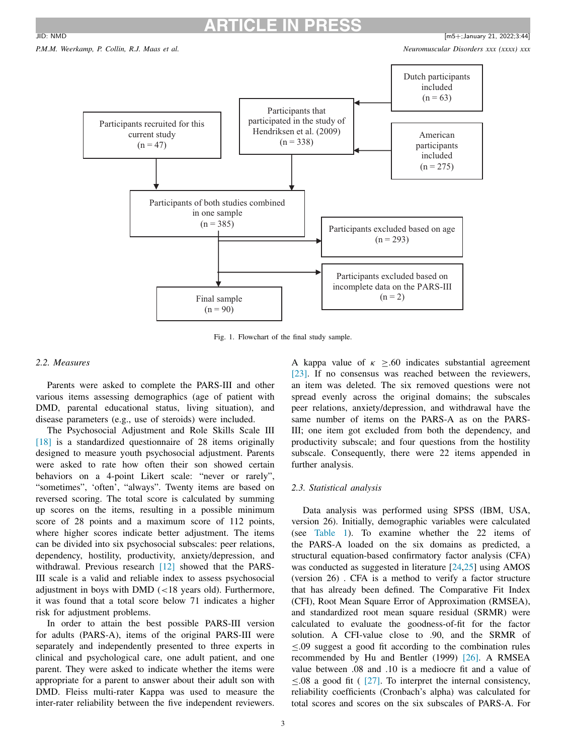# **ARTICLE IN PRESS**

<span id="page-2-0"></span>

Fig. 1. Flowchart of the final study sample.

## *2.2. Measures*

Parents were asked to complete the PARS-III and other various items assessing demographics (age of patient with DMD, parental educational status, living situation), and disease parameters (e.g., use of steroids) were included.

The Psychosocial Adjustment and Role Skills Scale III [\[18\]](#page-6-0) is a standardized questionnaire of 28 items originally designed to measure youth psychosocial adjustment. Parents were asked to rate how often their son showed certain behaviors on a 4-point Likert scale: "never or rarely", "sometimes", 'often', "always". Twenty items are based on reversed scoring. The total score is calculated by summing up scores on the items, resulting in a possible minimum score of 28 points and a maximum score of 112 points, where higher scores indicate better adjustment. The items can be divided into six psychosocial subscales: peer relations, dependency, hostility, productivity, anxiety/depression, and withdrawal. Previous research [\[12\]](#page-6-0) showed that the PARS-III scale is a valid and reliable index to assess psychosocial adjustment in boys with DMD (<18 years old). Furthermore, it was found that a total score below 71 indicates a higher risk for adjustment problems.

In order to attain the best possible PARS-III version for adults (PARS-A), items of the original PARS-III were separately and independently presented to three experts in clinical and psychological care, one adult patient, and one parent. They were asked to indicate whether the items were appropriate for a parent to answer about their adult son with DMD. Fleiss multi-rater Kappa was used to measure the inter-rater reliability between the five independent reviewers.

A kappa value of  $\kappa \geq 0.60$  indicates substantial agreement [\[23\].](#page-6-0) If no consensus was reached between the reviewers, an item was deleted. The six removed questions were not spread evenly across the original domains; the subscales peer relations, anxiety/depression, and withdrawal have the same number of items on the PARS-A as on the PARS-III; one item got excluded from both the dependency, and productivity subscale; and four questions from the hostility subscale. Consequently, there were 22 items appended in further analysis.

## *2.3. Statistical analysis*

Data analysis was performed using SPSS (IBM, USA, version 26). Initially, demographic variables were calculated (see [Table](#page-3-0) 1). To examine whether the 22 items of the PARS-A loaded on the six domains as predicted, a structural equation-based confirmatory factor analysis (CFA) was conducted as suggested in literature [\[24,25\]](#page-6-0) using AMOS (version 26) . CFA is a method to verify a factor structure that has already been defined. The Comparative Fit Index (CFI), Root Mean Square Error of Approximation (RMSEA), and standardized root mean square residual (SRMR) were calculated to evaluate the goodness-of-fit for the factor solution. A CFI-value close to .90, and the SRMR of ≤.09 suggest a good fit according to the combination rules recommended by Hu and Bentler (1999) [\[26\].](#page-6-0) A RMSEA value between .08 and .10 is a mediocre fit and a value of  $\leq$ .08 a good fit ( [\[27\].](#page-6-0) To interpret the internal consistency, reliability coefficients (Cronbach's alpha) was calculated for total scores and scores on the six subscales of PARS-A. For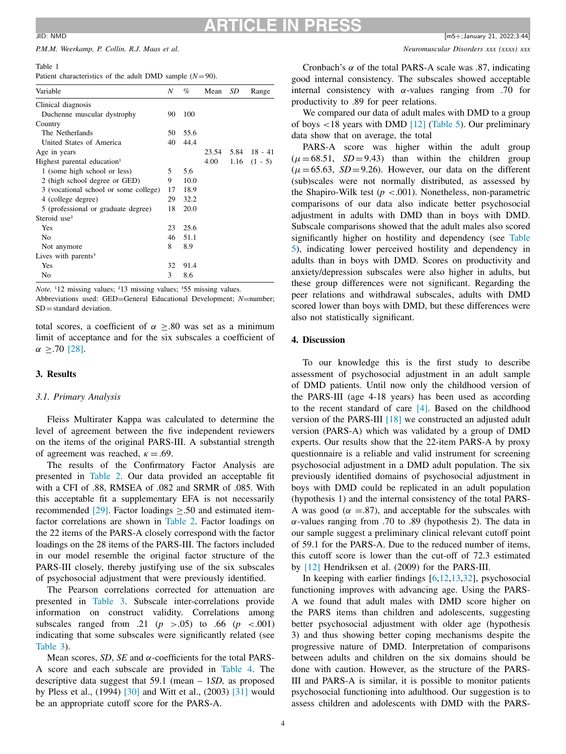#### <span id="page-3-0"></span>*P.M.M. Weerkamp, P. Collin, R.J. Maas et al. Neuromuscular Disorders xxx (xxxx) xxx*

#### Table 1

Patient characteristics of the adult DMD sample  $(N=90)$ .

| Variable                                | Ν  | %    | Mean  | SD | Range            |
|-----------------------------------------|----|------|-------|----|------------------|
| Clinical diagnosis                      |    |      |       |    |                  |
| Duchenne muscular dystrophy             | 90 | 100  |       |    |                  |
| Country                                 |    |      |       |    |                  |
| The Netherlands                         | 50 | 55.6 |       |    |                  |
| United States of America                | 40 | 44.4 |       |    |                  |
| Age in years                            |    |      | 23.54 |    | $5.84$ 18 - 41   |
| Highest parental education <sup>1</sup> |    |      | 4.00  |    | $1.16$ $(1 - 5)$ |
| 1 (some high school or less)            | 5  | 5.6  |       |    |                  |
| 2 (high school degree or GED)           | 9  | 10.0 |       |    |                  |
| 3 (vocational school or some college)   | 17 | 18.9 |       |    |                  |
| 4 (college degree)                      | 29 | 32.2 |       |    |                  |
| 5 (professional or graduate degree)     | 18 | 20.0 |       |    |                  |
| Steroid use <sup>2</sup>                |    |      |       |    |                  |
| Yes                                     | 23 | 25.6 |       |    |                  |
| N <sub>0</sub>                          | 46 | 51.1 |       |    |                  |
| Not anymore                             | 8  | 8.9  |       |    |                  |
| Lives with parents $3$                  |    |      |       |    |                  |
| Yes                                     | 32 | 91.4 |       |    |                  |
| No                                      | 3  | 8.6  |       |    |                  |

*Note.* <sup>1</sup>12 missing values; <sup>2</sup>13 missing values; <sup>3</sup>55 missing values.

Abbreviations used: GED=General Educational Development; *N*=number; SD=standard deviation.

total scores, a coefficient of  $\alpha \geq 0.80$  was set as a minimum limit of acceptance and for the six subscales a coefficient of  $\alpha$  >.70 [\[28\].](#page-6-0)

## **3. Results**

## *3.1. Primary Analysis*

Fleiss Multirater Kappa was calculated to determine the level of agreement between the five independent reviewers on the items of the original PARS-III. A substantial strength of agreement was reached,  $\kappa = .69$ .

The results of the Confirmatory Factor Analysis are presented in [Table](#page-4-0) 2. Our data provided an acceptable fit with a CFI of .88, RMSEA of .082 and SRMR of .085. With this acceptable fit a supplementary EFA is not necessarily recommended [\[29\].](#page-6-0) Factor loadings ≥.50 and estimated itemfactor correlations are shown in [Table](#page-4-0) 2. Factor loadings on the 22 items of the PARS-A closely correspond with the factor loadings on the 28 items of the PARS-III. The factors included in our model resemble the original factor structure of the PARS-III closely, thereby justifying use of the six subscales of psychosocial adjustment that were previously identified.

The Pearson correlations corrected for attenuation are presented in [Table](#page-4-0) 3. Subscale inter-correlations provide information on construct validity. Correlations among subscales ranged from .21  $(p > .05)$  to .66  $(p < .001)$ indicating that some subscales were significantly related (see [Table](#page-4-0) 3).

Mean scores, *SD*, *SE* and  $\alpha$ -coefficients for the total PARS-A score and each subscale are provided in [Table](#page-4-0) 4. The descriptive data suggest that 59.1 (mean – 1*SD,* as proposed by Pless et al., (1994) [\[30\]](#page-6-0) and Witt et al., (2003) [\[31\]](#page-6-0) would be an appropriate cutoff score for the PARS-A.

Cronbach's  $\alpha$  of the total PARS-A scale was .87, indicating good internal consistency. The subscales showed acceptable internal consistency with  $\alpha$ -values ranging from .70 for productivity to .89 for peer relations.

We compared our data of adult males with DMD to a group of boys <18 years with DMD [\[12\]](#page-6-0) [\(Table](#page-5-0) 5). Our preliminary data show that on average, the total

PARS-A score was higher within the adult group  $(\mu = 68.51, SD = 9.43)$  than within the children group  $(\mu = 65.63, SD = 9.26)$ . However, our data on the different (sub)scales were not normally distributed, as assessed by the Shapiro-Wilk test  $(p < .001)$ . Nonetheless, non-parametric comparisons of our data also indicate better psychosocial adjustment in adults with DMD than in boys with DMD. Subscale comparisons showed that the adult males also scored [significantly](#page-5-0) higher on hostility and dependency (see Table 5), indicating lower perceived hostility and dependency in adults than in boys with DMD. Scores on productivity and anxiety/depression subscales were also higher in adults, but these group differences were not significant. Regarding the peer relations and withdrawal subscales, adults with DMD scored lower than boys with DMD, but these differences were also not statistically significant.

#### **4. Discussion**

To our knowledge this is the first study to describe assessment of psychosocial adjustment in an adult sample of DMD patients. Until now only the childhood version of the PARS-III (age 4-18 years) has been used as according to the recent standard of care [\[4\].](#page-5-0) Based on the childhood version of the PARS-III [\[18\]](#page-6-0) we constructed an adjusted adult version (PARS-A) which was validated by a group of DMD experts. Our results show that the 22-item PARS-A by proxy questionnaire is a reliable and valid instrument for screening psychosocial adjustment in a DMD adult population. The six previously identified domains of psychosocial adjustment in boys with DMD could be replicated in an adult population (hypothesis 1) and the internal consistency of the total PARS-A was good ( $\alpha = 0.87$ ), and acceptable for the subscales with α-values ranging from .70 to .89 (hypothesis 2). The data in our sample suggest a preliminary clinical relevant cutoff point of 59.1 for the PARS-A. Due to the reduced number of items, this cutoff score is lower than the cut-off of 72.3 estimated by [\[12\]](#page-6-0) Hendriksen et al. (2009) for the PARS-III.

In keeping with earlier findings [\[6,](#page-5-0)[12,13,32\]](#page-6-0), psychosocial functioning improves with advancing age. Using the PARS-A we found that adult males with DMD score higher on the PARS items than children and adolescents, suggesting better psychosocial adjustment with older age (hypothesis 3) and thus showing better coping mechanisms despite the progressive nature of DMD. Interpretation of comparisons between adults and children on the six domains should be done with caution. However, as the structure of the PARS-III and PARS-A is similar, it is possible to monitor patients psychosocial functioning into adulthood. Our suggestion is to assess children and adolescents with DMD with the PARS-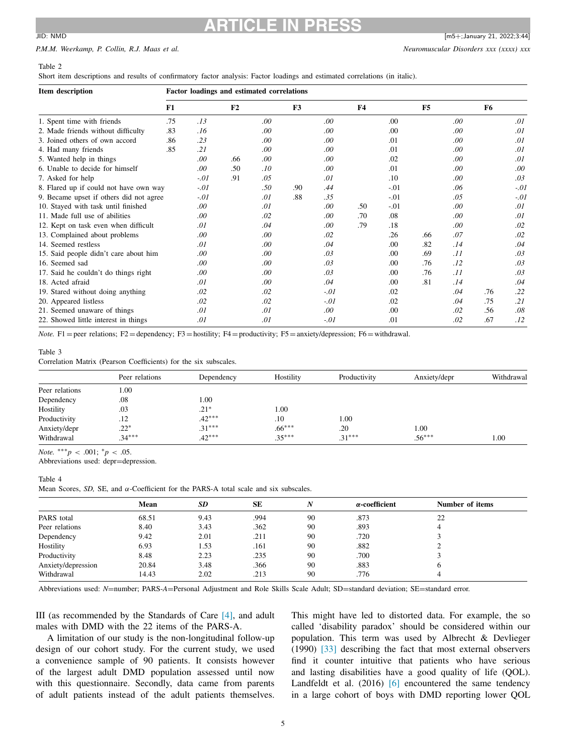# <span id="page-4-0"></span>**ARTICLE IN PRESS**  $\frac{1}{2}$  JID: NMD  $\frac{1}{2}$  MS+;January 21, 2022;3:44

# *P.M.M. Weerkamp, P. Collin, R.J. Maas et al. Neuromuscular Disorders xxx (xxxx) xxx*

#### Table 2

Short item descriptions and results of confirmatory factor analysis: Factor loadings and estimated correlations (in italic).

| Item description                        | Factor loadings and estimated correlations |        |                |      |     |        |           |        |     |      |     |        |
|-----------------------------------------|--------------------------------------------|--------|----------------|------|-----|--------|-----------|--------|-----|------|-----|--------|
|                                         | F1                                         |        | F <sub>2</sub> | F3   |     |        | <b>F4</b> |        | F5  | F6   |     |        |
| 1. Spent time with friends              | .75                                        | .13    |                | .00  |     | .00.   |           | .00    |     | .00  |     | .01    |
| 2. Made friends without difficulty      | .83                                        | .16    |                | .00  |     | .00    |           | .00    |     | .00. |     | .01    |
| 3. Joined others of own accord          | .86                                        | .23    |                | .00. |     | .00.   |           | .01    |     | .00  |     | .01    |
| 4. Had many friends                     | .85                                        | .21    |                | .00. |     | .00.   |           | .01    |     | .00  |     | .01    |
| 5. Wanted help in things                |                                            | .00    | .66            | .00. |     | .00.   |           | .02    |     | .00  |     | .01    |
| 6. Unable to decide for himself         |                                            | .00    | .50            | .10  |     | .00.   |           | .01    |     | .00  |     | .00.   |
| 7. Asked for help                       |                                            | $-.01$ | .91            | .05  |     | .01    |           | .10    |     | .00. |     | .03    |
| 8. Flared up if could not have own way  |                                            | $-.01$ |                | .50  | .90 | .44    |           | $-.01$ |     | .06  |     | $-.01$ |
| 9. Became upset if others did not agree |                                            | $-.01$ |                | .01  | .88 | .35    |           | $-.01$ |     | .05  |     | $-.01$ |
| 10. Stayed with task until finished     |                                            | .00.   |                | .01  |     | .00    | .50       | $-.01$ |     | .00. |     | .01    |
| 11. Made full use of abilities          |                                            | .00.   |                | .02  |     | .00    | .70       | .08    |     | .00  |     | .01    |
| 12. Kept on task even when difficult    |                                            | .01    |                | .04  |     | .00    | .79       | .18    |     | .00. |     | .02    |
| 13. Complained about problems           |                                            | .00    |                | .00  |     | .02    |           | .26    | .66 | .07  |     | .02    |
| 14. Seemed restless                     |                                            | .01    |                | .00  |     | .04    |           | .00    | .82 | .14  |     | .04    |
| 15. Said people didn't care about him   |                                            | .00    |                | .00. |     | .03    |           | .00    | .69 | .11  |     | .03    |
| 16. Seemed sad                          |                                            | .00    |                | .00. |     | .03    |           | .00    | .76 | .12  |     | .03    |
| 17. Said he couldn't do things right    |                                            | .00    |                | .00. |     | .03    |           | .00    | .76 | .11  |     | .03    |
| 18. Acted afraid                        |                                            | .01    |                | .00. |     | .04    |           | .00    | .81 | .14  |     | .04    |
| 19. Stared without doing anything       |                                            | .02    |                | .02  |     | $-.01$ |           | .02    |     | .04  | .76 | .22    |
| 20. Appeared listless                   |                                            | .02    |                | .02  |     | $-.01$ |           | .02    |     | .04  | .75 | .21    |
| 21. Seemed unaware of things            |                                            | .01    |                | .01  |     | .00.   |           | .00    |     | .02  | .56 | .08    |
| 22. Showed little interest in things    |                                            | .01    |                | .01  |     | $-.01$ |           | .01    |     | .02  | .67 | .12    |

*Note.* F1 = peer relations; F2 = dependency; F3 = hostility; F4 = productivity; F5 = anxiety/depression; F6 = withdrawal.

## Table 3

Correlation Matrix (Pearson Coefficients) for the six subscales.

|                | Peer relations | Dependency | Hostility | Productivity | Anxiety/depr | Withdrawal |
|----------------|----------------|------------|-----------|--------------|--------------|------------|
| Peer relations | 1.00           |            |           |              |              |            |
| Dependency     | .08            | 1.00       |           |              |              |            |
| Hostility      | .03            | $.21*$     | 00.1      |              |              |            |
| Productivity   | .12            | $.42***$   | .10       | 1.00         |              |            |
| Anxiety/depr   | $.22*$         | $.31***$   | $.66***$  | .20          | 1.00         |            |
| Withdrawal     | $.34***$       | $.42***$   | $.35***$  | $.31***$     | $.56***$     | 00.1       |

*Note.*  $***p < .001$ ;  $p < .05$ .

Abbreviations used: depr=depression.

## Table 4

Mean Scores, *SD*, SE, and  $\alpha$ -Coefficient for the PARS-A total scale and six subscales.

|                    | Mean  | <b>SD</b> | <b>SE</b> | N  | $\alpha$ -coefficient | Number of items |  |
|--------------------|-------|-----------|-----------|----|-----------------------|-----------------|--|
| PARS total         | 68.51 | 9.43      | .994      | 90 | .873                  | 22              |  |
| Peer relations     | 8.40  | 3.43      | .362      | 90 | .893                  |                 |  |
| Dependency         | 9.42  | 2.01      | .211      | 90 | .720                  |                 |  |
| Hostility          | 6.93  | 1.53      | .161      | 90 | .882                  | ∼               |  |
| Productivity       | 8.48  | 2.23      | .235      | 90 | .700                  |                 |  |
| Anxiety/depression | 20.84 | 3.48      | .366      | 90 | .883                  |                 |  |
| Withdrawal         | 14.43 | 2.02      | .213      | 90 | .776                  |                 |  |
|                    |       |           |           |    |                       |                 |  |

Abbreviations used: *N*=number; PARS-A=Personal Adjustment and Role Skills Scale Adult; SD=standard deviation; SE=standard error.

III (as recommended by the Standards of Care [\[4\],](#page-5-0) and adult males with DMD with the 22 items of the PARS-A.

A limitation of our study is the non-longitudinal follow-up design of our cohort study. For the current study, we used a convenience sample of 90 patients. It consists however of the largest adult DMD population assessed until now with this questionnaire. Secondly, data came from parents of adult patients instead of the adult patients themselves.

This might have led to distorted data. For example, the so called 'disability paradox' should be considered within our population. This term was used by Albrecht & Devlieger (1990) [\[33\]](#page-6-0) describing the fact that most external observers find it counter intuitive that patients who have serious and lasting disabilities have a good quality of life (QOL). Landfeldt et al. (2016) [\[6\]](#page-5-0) encountered the same tendency in a large cohort of boys with DMD reporting lower QOL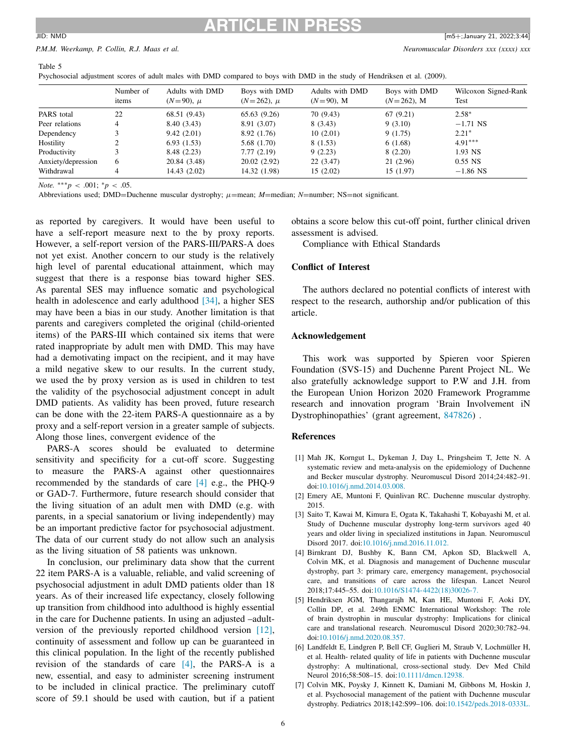#### <span id="page-5-0"></span>*P.M.M. Weerkamp, P. Collin, R.J. Maas et al. Neuromuscular Disorders xxx (xxxx) xxx*

Table 5

Psychosocial adjustment scores of adult males with DMD compared to boys with DMD in the study of Hendriksen et al. (2009).

|                    | Number of<br>items | Adults with DMD<br>$(N=90)$ , $\mu$ | Boys with DMD<br>$(N=262)$ , $\mu$ | Adults with DMD<br>$(N=90)$ , M | Boys with DMD<br>$(N=262)$ , M | Wilcoxon Signed-Rank<br>Test |
|--------------------|--------------------|-------------------------------------|------------------------------------|---------------------------------|--------------------------------|------------------------------|
| PARS total         | 22                 | 68.51 (9.43)                        | 65.63 (9.26)                       | 70 (9.43)                       | 67(9.21)                       | $2.58*$                      |
| Peer relations     | 4                  | 8.40 (3.43)                         | 8.91 (3.07)                        | 8(3.43)                         | 9(3.10)                        | $-1.71$ NS                   |
| Dependency         |                    | 9.42(2.01)                          | 8.92 (1.76)                        | 10(2.01)                        | 9(1.75)                        | $2.21*$                      |
| Hostility          |                    | 6.93(1.53)                          | 5.68 (1.70)                        | 8(1.53)                         | 6(1.68)                        | $4.91***$                    |
| Productivity       |                    | 8.48 (2.23)                         | 7.77(2.19)                         | 9(2.23)                         | 8(2.20)                        | 1.93 NS                      |
| Anxiety/depression | 6                  | 20.84 (3.48)                        | 20.02(2.92)                        | 22(3.47)                        | 21(2.96)                       | $0.55$ NS                    |
| Withdrawal         | 4                  | 14.43(2.02)                         | 14.32 (1.98)                       | 15(2.02)                        | 15(1.97)                       | $-1.86$ NS                   |

*Note.*  $***p < .001$ ;  $p < .05$ .

Abbreviations used; DMD=Duchenne muscular dystrophy; μ=mean; *M*=median; *N*=number; NS=not significant.

as reported by caregivers. It would have been useful to have a self-report measure next to the by proxy reports. However, a self-report version of the PARS-III/PARS-A does not yet exist. Another concern to our study is the relatively high level of parental educational attainment, which may suggest that there is a response bias toward higher SES. As parental SES may influence somatic and psychological health in adolescence and early adulthood [\[34\],](#page-6-0) a higher SES may have been a bias in our study. Another limitation is that parents and caregivers completed the original (child-oriented items) of the PARS-III which contained six items that were rated inappropriate by adult men with DMD. This may have had a demotivating impact on the recipient, and it may have a mild negative skew to our results. In the current study, we used the by proxy version as is used in children to test the validity of the psychosocial adjustment concept in adult DMD patients. As validity has been proved, future research can be done with the 22-item PARS-A questionnaire as a by proxy and a self-report version in a greater sample of subjects. Along those lines, convergent evidence of the

PARS-A scores should be evaluated to determine sensitivity and specificity for a cut-off score. Suggesting to measure the PARS-A against other questionnaires recommended by the standards of care [4] e.g., the PHQ-9 or GAD-7. Furthermore, future research should consider that the living situation of an adult men with DMD (e.g. with parents, in a special sanatorium or living independently) may be an important predictive factor for psychosocial adjustment. The data of our current study do not allow such an analysis as the living situation of 58 patients was unknown.

In conclusion, our preliminary data show that the current 22 item PARS-A is a valuable, reliable, and valid screening of psychosocial adjustment in adult DMD patients older than 18 years. As of their increased life expectancy, closely following up transition from childhood into adulthood is highly essential in the care for Duchenne patients. In using an adjusted –adultversion of the previously reported childhood version [\[12\],](#page-6-0) continuity of assessment and follow up can be guaranteed in this clinical population. In the light of the recently published revision of the standards of care [4], the PARS-A is a new, essential, and easy to administer screening instrument to be included in clinical practice. The preliminary cutoff score of 59.1 should be used with caution, but if a patient obtains a score below this cut-off point, further clinical driven assessment is advised.

Compliance with Ethical Standards

## **Conflict of Interest**

The authors declared no potential conflicts of interest with respect to the research, authorship and/or publication of this article.

#### **Acknowledgement**

This work was supported by Spieren voor Spieren Foundation (SVS-15) and Duchenne Parent Project NL. We also gratefully acknowledge support to P.W and J.H. from the European Union Horizon 2020 Framework Programme research and innovation program 'Brain Involvement iN Dystrophinopathies' (grant agreement, 847826) .

#### **References**

- [1] Mah JK, Korngut L, Dykeman J, Day L, Pringsheim T, Jette N. A systematic review and meta-analysis on the epidemiology of Duchenne and Becker muscular dystrophy. Neuromuscul Disord 2014;24:482–91. doi[:10.1016/j.nmd.2014.03.008.](https://doi.org/10.1016/j.nmd.2014.03.008)
- [2] Emery AE, Muntoni F, Quinlivan RC. Duchenne muscular dystrophy. 2015.
- [3] Saito T, Kawai M, Kimura E, Ogata K, Takahashi T, Kobayashi M, et al. Study of Duchenne muscular dystrophy long-term survivors aged 40 years and older living in specialized institutions in Japan. Neuromuscul Disord 2017. doi[:10.1016/j.nmd.2016.11.012.](https://doi.org/10.1016/j.nmd.2016.11.012)
- [4] Birnkrant DJ, Bushby K, Bann CM, Apkon SD, Blackwell A, Colvin MK, et al. Diagnosis and management of Duchenne muscular dystrophy, part 3: primary care, emergency management, psychosocial care, and transitions of care across the lifespan. Lancet Neurol 2018;17:445–55. doi[:10.1016/S1474-4422\(18\)30026-7.](https://doi.org/10.1016/S1474-4422(18)30026-7)
- [5] Hendriksen JGM, Thangarajh M, Kan HE, Muntoni F, Aoki DY, Collin DP, et al. 249th ENMC International Workshop: The role of brain dystrophin in muscular dystrophy: Implications for clinical care and translational research. Neuromuscul Disord 2020;30:782–94. doi[:10.1016/j.nmd.2020.08.357.](https://doi.org/10.1016/j.nmd.2020.08.357)
- [6] Landfeldt E, Lindgren P, Bell CF, Guglieri M, Straub V, Lochmüller H, et al. Health- related quality of life in patients with Duchenne muscular dystrophy: A multinational, cross-sectional study. Dev Med Child Neurol 2016;58:508–15. doi[:10.1111/dmcn.12938.](https://doi.org/10.1111/dmcn.12938)
- [7] Colvin MK, Poysky J, Kinnett K, Damiani M, Gibbons M, Hoskin J, et al. Psychosocial management of the patient with Duchenne muscular dystrophy. Pediatrics 2018;142:S99–106. doi[:10.1542/peds.2018-0333L.](https://doi.org/10.1542/peds.2018-0333L)